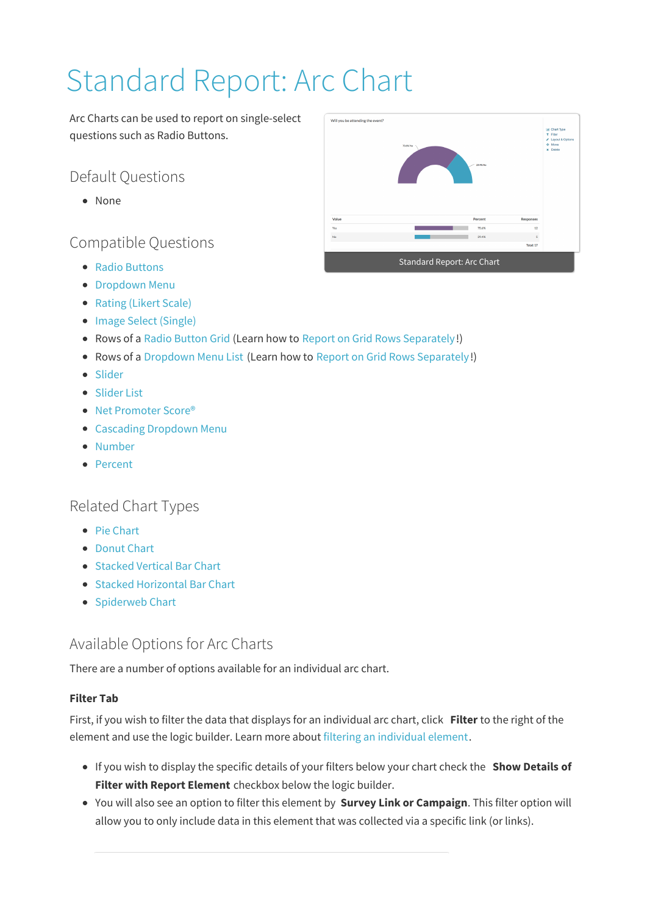# Standard Report: Arc Chart

Arc Charts can be used to report on single-select questions such as Radio Buttons.

# Default Questions

None

## Compatible Questions

- Radio Buttons
- **Dropdown Menu**
- Rating (Likert Scale)
- Image Select (Single)
- Rows of a Radio Button Grid (Learn how to Report on Grid Rows Separately!)
- Rows of a Dropdown Menu List (Learn how to Report on Grid Rows Separately!)
- Slider
- Slider List
- Net Promoter Score®
- Cascading Dropdown Menu
- Number
- Percent

## Related Chart Types

- Pie Chart
- Donut Chart
- Stacked Vertical Bar Chart
- Stacked Horizontal Bar Chart
- Spiderweb Chart

## Available Options for Arc Charts

There are a number of options available for an individual arc chart.

### **Filter Tab**

First, if you wish to filter the data that displays for an individual arc chart, click **Filter** to the right of the element and use the logic builder. Learn more about filtering an individual element.

- If you wish to display the specific details of your filters below your chart check the **Show Details of Filter with Report Element** checkbox below the logic builder.
- You will also see an option to filter this element by **Survey Link or Campaign**. This filter option will allow you to only include data in this element that was collected via a specific link (or links).

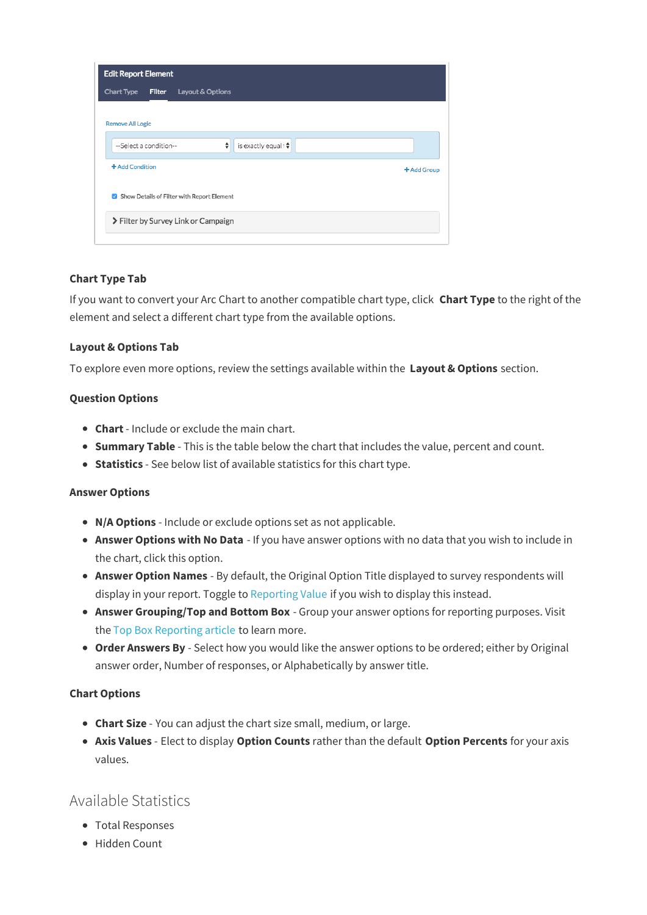| <b>Edit Report Element</b>                         |             |
|----------------------------------------------------|-------------|
| Chart Type<br><b>Filter</b><br>Layout & Options    |             |
|                                                    |             |
| <b>Remove All Logic</b>                            |             |
| ÷<br>is exactly equal to<br>--Select a condition-- |             |
| + Add Condition                                    | + Add Group |
| Show Details of Filter with Report Element         |             |
| > Filter by Survey Link or Campaign                |             |
|                                                    |             |

#### **Chart Type Tab**

If you want to convert your Arc Chart to another compatible chart type, click **Chart Type** to the right of the element and select a different chart type from the available options.

#### **Layout & Options Tab**

To explore even more options, review the settings available within the **Layout & Options** section.

#### **Question Options**

- **Chart** Include or exclude the main chart.
- **Summary Table** This is the table below the chart that includes the value, percent and count.
- **Statistics** See below list of available statistics for this chart type.

#### **Answer Options**

- **N/A Options** Include or exclude options set as not applicable.
- **Answer Options with No Data** If you have answer options with no data that you wish to include in the chart, click this option.
- **Answer Option Names** By default, the Original Option Title displayed to survey respondents will display in your report. Toggle to Reporting Value if you wish to display this instead.
- **Answer Grouping/Top and Bottom Box** Group your answer options for reporting purposes. Visit the Top Box Reporting article to learn more.
- **Order Answers By** Select how you would like the answer options to be ordered; either by Original answer order, Number of responses, or Alphabetically by answer title.

#### **Chart Options**

- **Chart Size** You can adjust the chart size small, medium, or large.
- **Axis Values** Elect to display **Option Counts** rather than the default **Option Percents** for your axis values.

## Available Statistics

- Total Responses
- Hidden Count